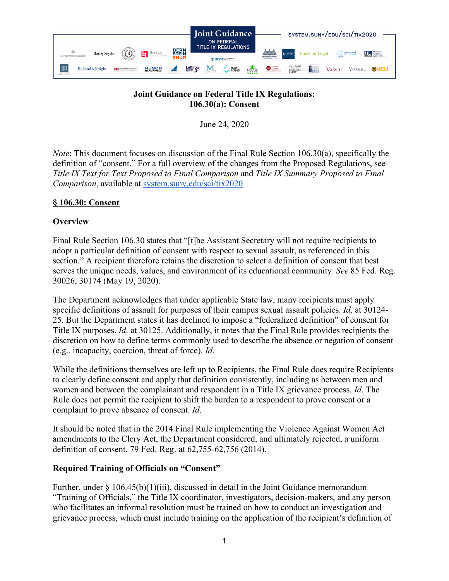

## **Joint Guidance on Federal Title IX Regulations: 106.30(a): Consent**

June 24, 2020

*Note*: This document focuses on discussion of the Final Rule Section 106.30(a), specifically the definition of "consent." For a full overview of the changes from the Proposed Regulations, see *Title IX Text for Text Proposed to Final Comparison* and *Title IX Summary Proposed to Final Comparison*, available at [system.suny.edu/sci/tix2020](https://system.suny.edu/sci/tix2020/)

## **§ 106.30: Consent**

## **Overview**

Final Rule Section 106.30 states that "[t]he Assistant Secretary will not require recipients to adopt a particular definition of consent with respect to sexual assault, as referenced in this section." A recipient therefore retains the discretion to select a definition of consent that best serves the unique needs, values, and environment of its educational community. *See* 85 Fed. Reg. 30026, 30174 (May 19, 2020).

The Department acknowledges that under applicable State law, many recipients must apply specific definitions of assault for purposes of their campus sexual assault policies. *Id*. at 30124- 25. But the Department states it has declined to impose a "federalized definition" of consent for Title IX purposes. *Id*. at 30125. Additionally, it notes that the Final Rule provides recipients the discretion on how to define terms commonly used to describe the absence or negation of consent (e.g., incapacity, coercion, threat of force). *Id*.

While the definitions themselves are left up to Recipients, the Final Rule does require Recipients to clearly define consent and apply that definition consistently, including as between men and women and between the complainant and respondent in a Title IX grievance process. *Id*. The Rule does not permit the recipient to shift the burden to a respondent to prove consent or a complaint to prove absence of consent. *Id*.

It should be noted that in the 2014 Final Rule implementing the Violence Against Women Act amendments to the Clery Act, the Department considered, and ultimately rejected, a uniform definition of consent. 79 Fed. Reg. at 62,755-62,756 (2014).

# **Required Training of Officials on "Consent"**

Further, under  $\S 106.45(b)(1)(iii)$ , discussed in detail in the Joint Guidance memorandum "Training of Officials," the Title IX coordinator, investigators, decision-makers, and any person who facilitates an informal resolution must be trained on how to conduct an investigation and grievance process, which must include training on the application of the recipient's definition of